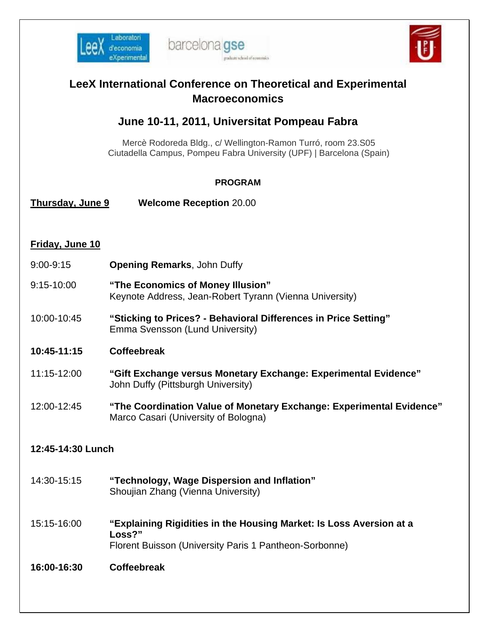





| <b>LeeX International Conference on Theoretical and Experimental</b><br><b>Macroeconomics</b> |                                                                                                                                         |  |
|-----------------------------------------------------------------------------------------------|-----------------------------------------------------------------------------------------------------------------------------------------|--|
| June 10-11, 2011, Universitat Pompeau Fabra                                                   |                                                                                                                                         |  |
|                                                                                               | Mercè Rodoreda Bldg., c/ Wellington-Ramon Turró, room 23.S05<br>Ciutadella Campus, Pompeu Fabra University (UPF)   Barcelona (Spain)    |  |
| <b>PROGRAM</b>                                                                                |                                                                                                                                         |  |
| Thursday, June 9                                                                              | <b>Welcome Reception 20.00</b>                                                                                                          |  |
| Friday, June 10                                                                               |                                                                                                                                         |  |
| $9:00 - 9:15$                                                                                 | <b>Opening Remarks, John Duffy</b>                                                                                                      |  |
| 9:15-10:00                                                                                    | "The Economics of Money Illusion"<br>Keynote Address, Jean-Robert Tyrann (Vienna University)                                            |  |
| 10:00-10:45                                                                                   | "Sticking to Prices? - Behavioral Differences in Price Setting"<br>Emma Svensson (Lund University)                                      |  |
| 10:45-11:15                                                                                   | <b>Coffeebreak</b>                                                                                                                      |  |
| 11:15-12:00                                                                                   | "Gift Exchange versus Monetary Exchange: Experimental Evidence"<br>John Duffy (Pittsburgh University)                                   |  |
| 12:00-12:45                                                                                   | "The Coordination Value of Monetary Exchange: Experimental Evidence"<br>Marco Casari (University of Bologna)                            |  |
| 12:45-14:30 Lunch                                                                             |                                                                                                                                         |  |
| 14:30-15:15                                                                                   | "Technology, Wage Dispersion and Inflation"<br>Shoujian Zhang (Vienna University)                                                       |  |
| 15:15-16:00                                                                                   | "Explaining Rigidities in the Housing Market: Is Loss Aversion at a<br>Loss?"<br>Florent Buisson (University Paris 1 Pantheon-Sorbonne) |  |
| 16:00-16:30                                                                                   | <b>Coffeebreak</b>                                                                                                                      |  |